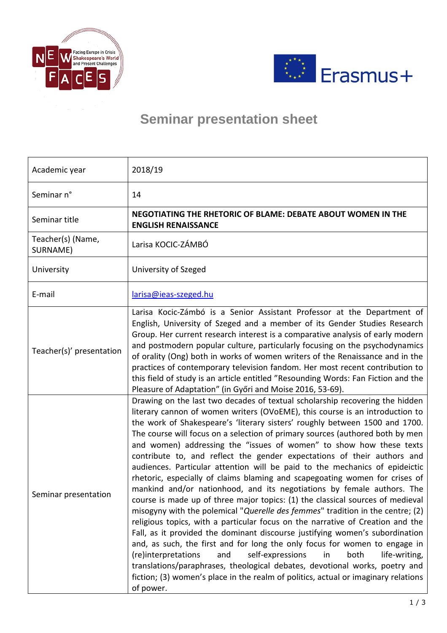



## **Seminar presentation sheet**

| Academic year                 | 2018/19                                                                                                                                                                                                                                                                                                                                                                                                                                                                                                                                                                                                                                                                                                                                                                                                                                                                                                                                                                                                                                                                                                                                                                                                                                                                                                                                                                                                              |
|-------------------------------|----------------------------------------------------------------------------------------------------------------------------------------------------------------------------------------------------------------------------------------------------------------------------------------------------------------------------------------------------------------------------------------------------------------------------------------------------------------------------------------------------------------------------------------------------------------------------------------------------------------------------------------------------------------------------------------------------------------------------------------------------------------------------------------------------------------------------------------------------------------------------------------------------------------------------------------------------------------------------------------------------------------------------------------------------------------------------------------------------------------------------------------------------------------------------------------------------------------------------------------------------------------------------------------------------------------------------------------------------------------------------------------------------------------------|
| Seminar n°                    | 14                                                                                                                                                                                                                                                                                                                                                                                                                                                                                                                                                                                                                                                                                                                                                                                                                                                                                                                                                                                                                                                                                                                                                                                                                                                                                                                                                                                                                   |
| Seminar title                 | NEGOTIATING THE RHETORIC OF BLAME: DEBATE ABOUT WOMEN IN THE<br><b>ENGLISH RENAISSANCE</b>                                                                                                                                                                                                                                                                                                                                                                                                                                                                                                                                                                                                                                                                                                                                                                                                                                                                                                                                                                                                                                                                                                                                                                                                                                                                                                                           |
| Teacher(s) (Name,<br>SURNAME) | Larisa KOCIC-ZÁMBÓ                                                                                                                                                                                                                                                                                                                                                                                                                                                                                                                                                                                                                                                                                                                                                                                                                                                                                                                                                                                                                                                                                                                                                                                                                                                                                                                                                                                                   |
| University                    | University of Szeged                                                                                                                                                                                                                                                                                                                                                                                                                                                                                                                                                                                                                                                                                                                                                                                                                                                                                                                                                                                                                                                                                                                                                                                                                                                                                                                                                                                                 |
| E-mail                        | larisa@ieas-szeged.hu                                                                                                                                                                                                                                                                                                                                                                                                                                                                                                                                                                                                                                                                                                                                                                                                                                                                                                                                                                                                                                                                                                                                                                                                                                                                                                                                                                                                |
| Teacher(s)' presentation      | Larisa Kocic-Zámbó is a Senior Assistant Professor at the Department of<br>English, University of Szeged and a member of its Gender Studies Research<br>Group. Her current research interest is a comparative analysis of early modern<br>and postmodern popular culture, particularly focusing on the psychodynamics<br>of orality (Ong) both in works of women writers of the Renaissance and in the<br>practices of contemporary television fandom. Her most recent contribution to<br>this field of study is an article entitled "Resounding Words: Fan Fiction and the<br>Pleasure of Adaptation" (in Győri and Moise 2016, 53-69).                                                                                                                                                                                                                                                                                                                                                                                                                                                                                                                                                                                                                                                                                                                                                                             |
| Seminar presentation          | Drawing on the last two decades of textual scholarship recovering the hidden<br>literary cannon of women writers (OVoEME), this course is an introduction to<br>the work of Shakespeare's 'literary sisters' roughly between 1500 and 1700.<br>The course will focus on a selection of primary sources (authored both by men<br>and women) addressing the "issues of women" to show how these texts<br>contribute to, and reflect the gender expectations of their authors and<br>audiences. Particular attention will be paid to the mechanics of epideictic<br>rhetoric, especially of claims blaming and scapegoating women for crises of<br>mankind and/or nationhood, and its negotiations by female authors. The<br>course is made up of three major topics: (1) the classical sources of medieval<br>misogyny with the polemical "Querelle des femmes" tradition in the centre; (2)<br>religious topics, with a particular focus on the narrative of Creation and the<br>Fall, as it provided the dominant discourse justifying women's subordination<br>and, as such, the first and for long the only focus for women to engage in<br>(re)interpretations<br>self-expressions<br>both<br>life-writing,<br>and<br><i>in</i><br>translations/paraphrases, theological debates, devotional works, poetry and<br>fiction; (3) women's place in the realm of politics, actual or imaginary relations<br>of power. |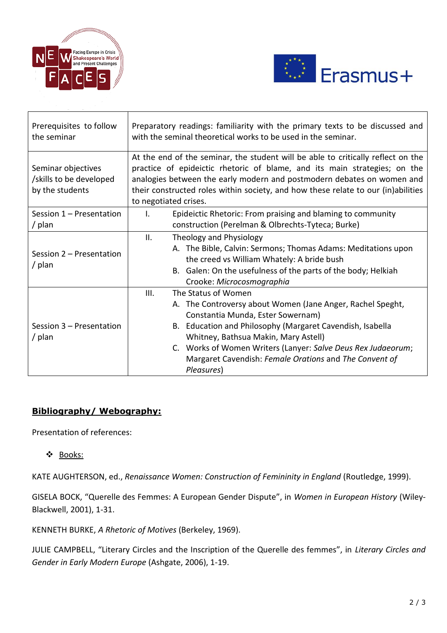



| Prerequisites to follow<br>the seminar                           | Preparatory readings: familiarity with the primary texts to be discussed and<br>with the seminal theoretical works to be used in the seminar.                                                                                                                                                                                                                               |
|------------------------------------------------------------------|-----------------------------------------------------------------------------------------------------------------------------------------------------------------------------------------------------------------------------------------------------------------------------------------------------------------------------------------------------------------------------|
| Seminar objectives<br>/skills to be developed<br>by the students | At the end of the seminar, the student will be able to critically reflect on the<br>practice of epideictic rhetoric of blame, and its main strategies; on the<br>analogies between the early modern and postmodern debates on women and<br>their constructed roles within society, and how these relate to our (in)abilities<br>to negotiated crises.                       |
| Session 1 – Presentation<br>/ plan                               | Epideictic Rhetoric: From praising and blaming to community<br>$\mathbf{L}$<br>construction (Perelman & Olbrechts-Tyteca; Burke)                                                                                                                                                                                                                                            |
| Session 2 - Presentation<br>/ $plan$                             | ΙΙ.<br>Theology and Physiology<br>A. The Bible, Calvin: Sermons; Thomas Adams: Meditations upon<br>the creed vs William Whately: A bride bush<br>B. Galen: On the usefulness of the parts of the body; Helkiah<br>Crooke: Microcosmographia                                                                                                                                 |
| Session 3 - Presentation<br>/ $plan$                             | The Status of Women<br>III.<br>A. The Controversy about Women (Jane Anger, Rachel Speght,<br>Constantia Munda, Ester Sowernam)<br>B. Education and Philosophy (Margaret Cavendish, Isabella<br>Whitney, Bathsua Makin, Mary Astell)<br>C. Works of Women Writers (Lanyer: Salve Deus Rex Judaeorum;<br>Margaret Cavendish: Female Orations and The Convent of<br>Pleasures) |

## **Bibliography/ Webography:**

Presentation of references:

❖ Books:

KATE AUGHTERSON, ed., *Renaissance Women: Construction of Femininity in England* (Routledge, 1999).

GISELA BOCK, "Querelle des Femmes: A European Gender Dispute", in *Women in European History* (Wiley-Blackwell, 2001), 1-31.

KENNETH BURKE, *A Rhetoric of Motives* (Berkeley, 1969).

JULIE CAMPBELL, "Literary Circles and the Inscription of the Querelle des femmes", in *Literary Circles and Gender in Early Modern Europe* (Ashgate, 2006), 1-19.